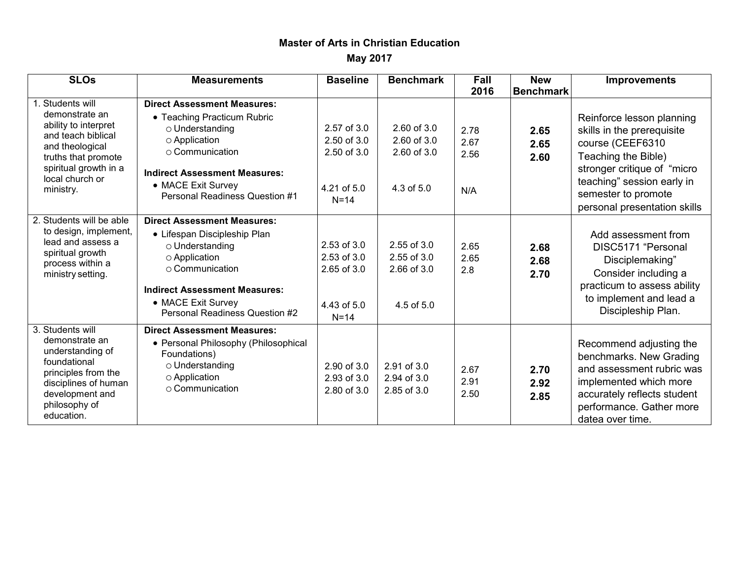## **Master of Arts in Christian Education**

**May 2017**

| <b>SLOs</b>                                                                                                                                                                      | <b>Measurements</b>                                                                                                                                                                                                             | <b>Baseline</b>                                                    | <b>Benchmark</b>                                                | Fall<br>2016                | <b>New</b><br><b>Benchmark</b> | <b>Improvements</b>                                                                                                                                                                                                    |
|----------------------------------------------------------------------------------------------------------------------------------------------------------------------------------|---------------------------------------------------------------------------------------------------------------------------------------------------------------------------------------------------------------------------------|--------------------------------------------------------------------|-----------------------------------------------------------------|-----------------------------|--------------------------------|------------------------------------------------------------------------------------------------------------------------------------------------------------------------------------------------------------------------|
| Students will<br>demonstrate an<br>ability to interpret<br>and teach biblical<br>and theological<br>truths that promote<br>spiritual growth in a<br>local church or<br>ministry. | <b>Direct Assessment Measures:</b><br>• Teaching Practicum Rubric<br>o Understanding<br>○ Application<br>$\circ$ Communication<br><b>Indirect Assessment Measures:</b><br>• MACE Exit Survey<br>Personal Readiness Question #1  | 2.57 of 3.0<br>2.50 of 3.0<br>2.50 of 3.0<br>4.21 of 5.0<br>$N=14$ | $2.60$ of $3.0$<br>2.60 of 3.0<br>$2.60$ of $3.0$<br>4.3 of 5.0 | 2.78<br>2.67<br>2.56<br>N/A | 2.65<br>2.65<br>2.60           | Reinforce lesson planning<br>skills in the prerequisite<br>course (CEEF6310<br>Teaching the Bible)<br>stronger critique of "micro<br>teaching" session early in<br>semester to promote<br>personal presentation skills |
| 2. Students will be able<br>to design, implement,<br>lead and assess a<br>spiritual growth<br>process within a<br>ministry setting.                                              | <b>Direct Assessment Measures:</b><br>• Lifespan Discipleship Plan<br>o Understanding<br>○ Application<br>$\circ$ Communication<br><b>Indirect Assessment Measures:</b><br>• MACE Exit Survey<br>Personal Readiness Question #2 | 2.53 of 3.0<br>2.53 of 3.0<br>2.65 of 3.0<br>4.43 of 5.0<br>$N=14$ | $2.55$ of $3.0$<br>2.55 of 3.0<br>2.66 of 3.0<br>4.5 of 5.0     | 2.65<br>2.65<br>2.8         | 2.68<br>2.68<br>2.70           | Add assessment from<br>DISC5171 "Personal<br>Disciplemaking"<br>Consider including a<br>practicum to assess ability<br>to implement and lead a<br>Discipleship Plan.                                                   |
| 3. Students will<br>demonstrate an<br>understanding of<br>foundational<br>principles from the<br>disciplines of human<br>development and<br>philosophy of<br>education.          | <b>Direct Assessment Measures:</b><br>• Personal Philosophy (Philosophical<br>Foundations)<br>o Understanding<br>○ Application<br>$\circ$ Communication                                                                         | 2.90 of 3.0<br>2.93 of 3.0<br>2.80 of 3.0                          | 2.91 of 3.0<br>2.94 of 3.0<br>2.85 of 3.0                       | 2.67<br>2.91<br>2.50        | 2.70<br>2.92<br>2.85           | Recommend adjusting the<br>benchmarks. New Grading<br>and assessment rubric was<br>implemented which more<br>accurately reflects student<br>performance. Gather more<br>datea over time.                               |